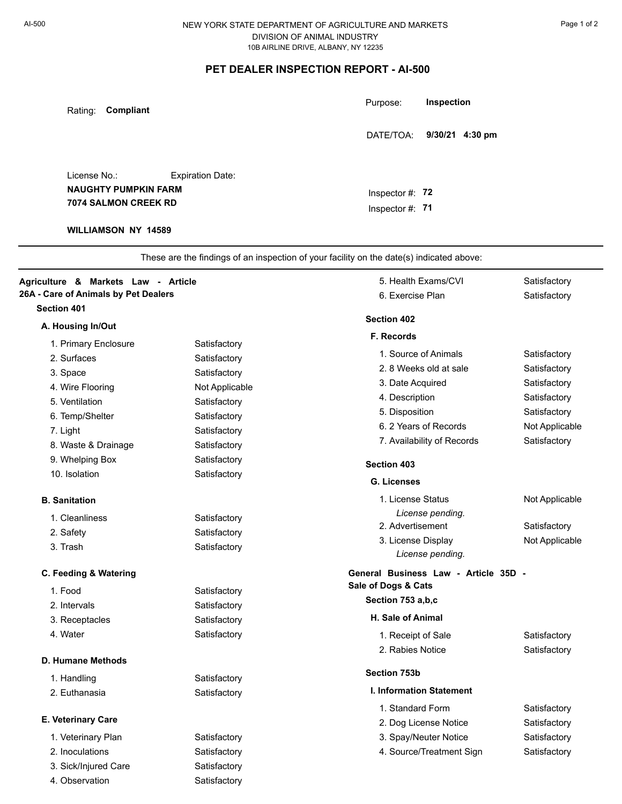## NEW YORK STATE DEPARTMENT OF AGRICULTURE AND MARKETS DIVISION OF ANIMAL INDUSTRY 10B AIRLINE DRIVE, ALBANY, NY 12235

## **PET DEALER INSPECTION REPORT - AI-500**

| Compliant<br>Rating:                                                                              |                         | Inspection<br>Purpose:                                                                   |                              |
|---------------------------------------------------------------------------------------------------|-------------------------|------------------------------------------------------------------------------------------|------------------------------|
|                                                                                                   |                         | 9/30/21 4:30 pm<br>DATE/TOA:                                                             |                              |
| License No.:<br><b>NAUGHTY PUMPKIN FARM</b><br>7074 SALMON CREEK RD<br><b>WILLIAMSON NY 14589</b> | <b>Expiration Date:</b> | Inspector $#: 72$<br>Inspector $#$ : 71                                                  |                              |
|                                                                                                   |                         | These are the findings of an inspection of your facility on the date(s) indicated above: |                              |
| Agriculture & Markets Law - Article<br>26A - Care of Animals by Pet Dealers                       |                         | 5. Health Exams/CVI<br>6. Exercise Plan                                                  | Satisfactory<br>Satisfactory |
| <b>Section 401</b>                                                                                |                         | <b>Section 402</b>                                                                       |                              |
| A. Housing In/Out                                                                                 |                         |                                                                                          |                              |
| 1. Primary Enclosure                                                                              | Satisfactory            | F. Records                                                                               |                              |
| 2. Surfaces                                                                                       | Satisfactory            | 1. Source of Animals                                                                     | Satisfactory                 |
| 3. Space                                                                                          | Satisfactory            | 2.8 Weeks old at sale                                                                    | Satisfactory                 |
| 4. Wire Flooring                                                                                  | Not Applicable          | 3. Date Acquired                                                                         | Satisfactory                 |
| 5. Ventilation                                                                                    | Satisfactory            | 4. Description                                                                           | Satisfactory                 |
| 6. Temp/Shelter                                                                                   | Satisfactory            | 5. Disposition                                                                           | Satisfactory                 |
| 7. Light                                                                                          | Satisfactory            | 6. 2 Years of Records                                                                    | Not Applicable               |
| 8. Waste & Drainage                                                                               | Satisfactory            | 7. Availability of Records                                                               | Satisfactory                 |
| 9. Whelping Box                                                                                   | Satisfactory            | <b>Section 403</b>                                                                       |                              |
| 10. Isolation                                                                                     | Satisfactory            | <b>G. Licenses</b>                                                                       |                              |
|                                                                                                   |                         | 1. License Status                                                                        | Not Applicable               |
| <b>B.</b> Sanitation                                                                              |                         | License pending.                                                                         |                              |
| 1. Cleanliness                                                                                    | Satisfactory            | 2. Advertisement                                                                         | Satisfactory                 |
| 2. Safety                                                                                         | Satisfactory            | 3. License Display                                                                       | Not Applicable               |
| 3. Trash                                                                                          | Satisfactory            | License pending.                                                                         |                              |
| C. Feeding & Watering                                                                             |                         | General Business Law - Article 35D -                                                     |                              |
| 1. Food                                                                                           | Satisfactory            | Sale of Dogs & Cats                                                                      |                              |
| 2. Intervals                                                                                      | Satisfactory            | Section 753 a,b,c                                                                        |                              |
| 3. Receptacles                                                                                    | Satisfactory            | H. Sale of Animal                                                                        |                              |
| 4. Water                                                                                          | Satisfactory            | 1. Receipt of Sale                                                                       | Satisfactory                 |
|                                                                                                   |                         | 2. Rabies Notice                                                                         | Satisfactory                 |
| D. Humane Methods                                                                                 |                         |                                                                                          |                              |
| 1. Handling                                                                                       | Satisfactory            | Section 753b                                                                             |                              |
| 2. Euthanasia                                                                                     | Satisfactory            | <b>I. Information Statement</b>                                                          |                              |
|                                                                                                   |                         | 1. Standard Form                                                                         | Satisfactory                 |
| E. Veterinary Care                                                                                |                         | 2. Dog License Notice                                                                    | Satisfactory                 |
| 1. Veterinary Plan                                                                                | Satisfactory            | 3. Spay/Neuter Notice                                                                    | Satisfactory                 |
| 2. Inoculations                                                                                   | Satisfactory            | 4. Source/Treatment Sign                                                                 | Satisfactory                 |
| 3. Sick/Injured Care                                                                              | Satisfactory            |                                                                                          |                              |
| 4. Observation                                                                                    | Satisfactory            |                                                                                          |                              |